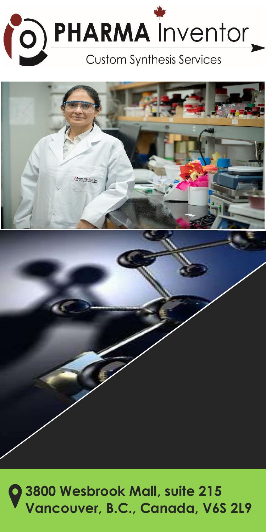



### **3800 Wesbrook Mall, suite 215 Vancouver, B.C., Canada, V6S 2L9**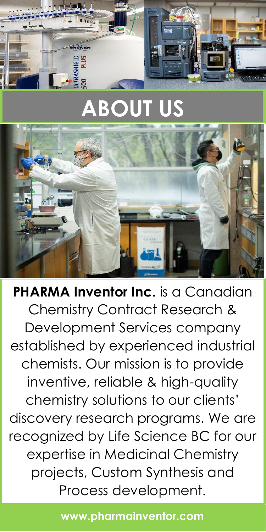# **ABOUT US**

ULTRAS<br>500



**PHARMA Inventor Inc.** is a Canadian Chemistry Contract Research & Development Services company established by experienced industrial chemists. Our mission is to provide inventive, reliable & high-quality chemistry solutions to our clients' discovery research programs. We are recognized by Life Science BC for our expertise in Medicinal Chemistry projects, Custom Synthesis and Process development.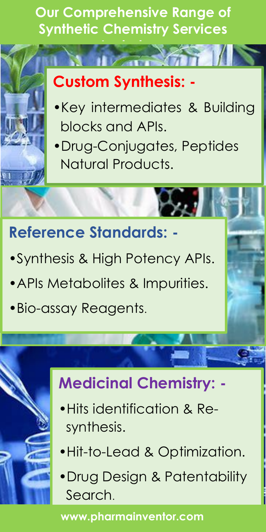### **Our Comprehensive Range of Synthetic Chemistry Services**

**Include…**

## **Custom Synthesis: -**

**Long Company** 

•Key intermediates & Building blocks and APIs.

 $\mathcal{A}_{\mathbf{z}}$ 

 $\frac{1}{2}$ 

•Drug-Conjugates, Peptides Natural Products.

# **Reference Standards: -**

resolutions.

- •Synthesis & High Potency APIs.
- •APIs Metabolites & Impurities.
- •Bio-assay Reagents.

# **Medicinal Chemistry: -**

- •Hits identification & Resynthesis.
- •Hit-to-Lead & Optimization.
- •Drug Design & Patentability Search.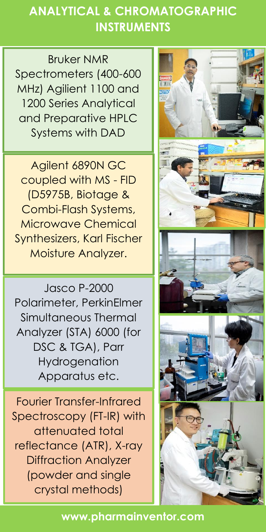#### **ANALYTICAL & CHROMATOGRAPHIC INSTRUMENTS**

Bruker NMR Spectrometers (400-600 MHz) Agilient 1100 and 1200 Series Analytical and Preparative HPLC Systems with DAD

Agilent 6890N GC coupled with MS - FID (D5975B, Biotage & Combi-Flash Systems, Microwave Chemical Synthesizers, Karl Fischer Moisture Analyzer.

Jasco P-2000 Polarimeter, PerkinElmer Simultaneous Thermal Analyzer (STA) 6000 (for DSC & TGA), Parr Hydrogenation Apparatus etc.

Fourier Transfer-Infrared Spectroscopy (FT-IR) with attenuated total reflectance (ATR), X-ray Diffraction Analyzer (powder and single crystal methods)

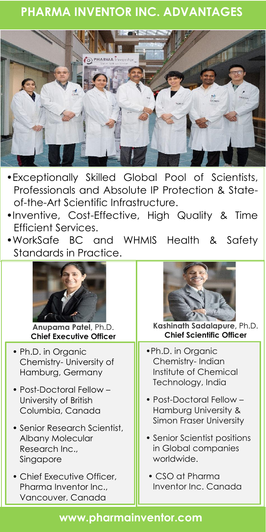#### **PHARMA INVENTOR INC. ADVANTAGES**



- •Exceptionally Skilled Global Pool of Scientists, Professionals and Absolute IP Protection & Stateof-the-Art Scientific Infrastructure.
- •Inventive, Cost-Effective, High Quality & Time Efficient Services.
- •WorkSafe BC and WHMIS Health & Safety Standards in Practice.



**Anupama Patel,** Ph.D. **Chief Executive Officer**

- Ph.D. in Organic Chemistry- University of Hamburg, Germany
- Post-Doctoral Fellow University of British Columbia, Canada
- Senior Research Scientist, Albany Molecular Research Inc., Singapore
- Chief Executive Officer, Pharma Inventor Inc., Vancouver, Canada



**Kashinath Sadalapure,** Ph.D. **Chief Scientific Officer**

- •Ph.D. in Organic Chemistry- Indian Institute of Chemical Technology, India
- Post-Doctoral Fellow Hamburg University & Simon Fraser University
- Senior Scientist positions in Global companies worldwide.
- CSO at Pharma Inventor Inc. Canada